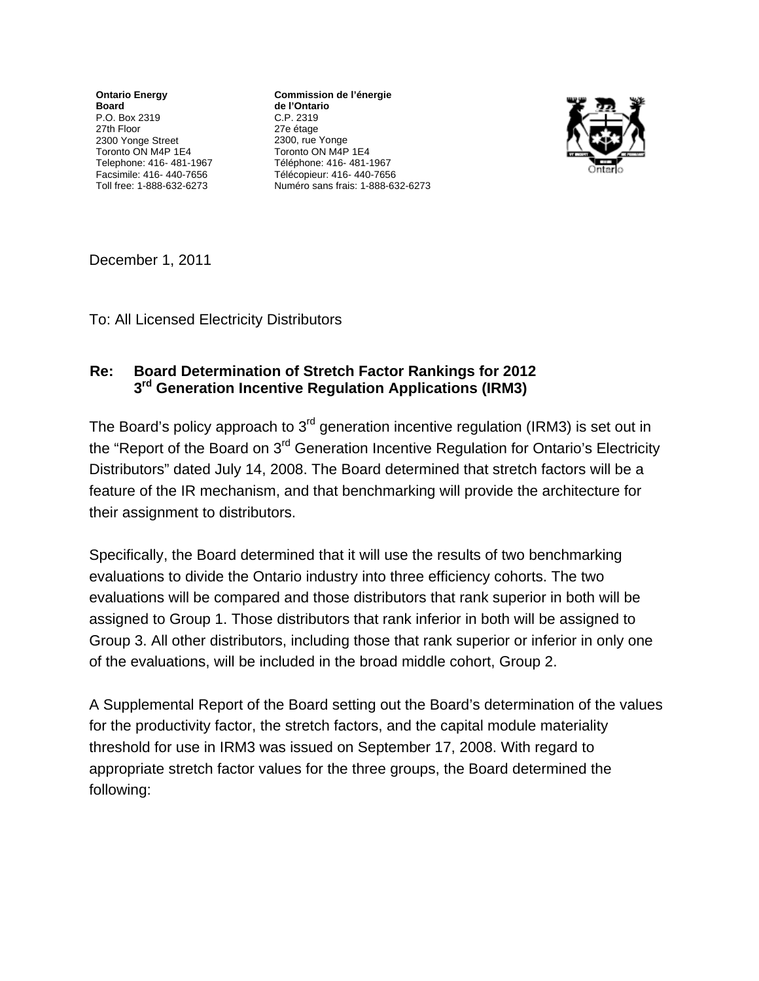**Ontario Energy Board**  P.O. Box 2319 27th Floor 2300 Yonge Street Toronto ON M4P 1E4 Telephone: 416- 481-1967 Facsimile: 416- 440-7656 Toll free: 1-888-632-6273

**Commission de l'énergie** de l'Ontario C.P. 2319 27e étage 2300, rue Yonge Toronto ON M4P 1E4 Téléphone: 416- 481-1967 Télécopieur: 416- 440-7656 Numéro sans frais: 1-888-632-6273



December 1, 2011

To: All Licensed Electricity Distributors

## **Re: Board Determination of Stretch Factor Rankings for 2012 3rd Generation Incentive Regulation Applications (IRM3)**

The Board's policy approach to 3<sup>rd</sup> generation incentive regulation (IRM3) is set out in the "Report of the Board on 3<sup>rd</sup> Generation Incentive Regulation for Ontario's Electricity Distributors" dated July 14, 2008. The Board determined that stretch factors will be a feature of the IR mechanism, and that benchmarking will provide the architecture for their assignment to distributors.

Specifically, the Board determined that it will use the results of two benchmarking evaluations to divide the Ontario industry into three efficiency cohorts. The two evaluations will be compared and those distributors that rank superior in both will be assigned to Group 1. Those distributors that rank inferior in both will be assigned to Group 3. All other distributors, including those that rank superior or inferior in only one of the evaluations, will be included in the broad middle cohort, Group 2.

A Supplemental Report of the Board setting out the Board's determination of the values for the productivity factor, the stretch factors, and the capital module materiality threshold for use in IRM3 was issued on September 17, 2008. With regard to appropriate stretch factor values for the three groups, the Board determined the following: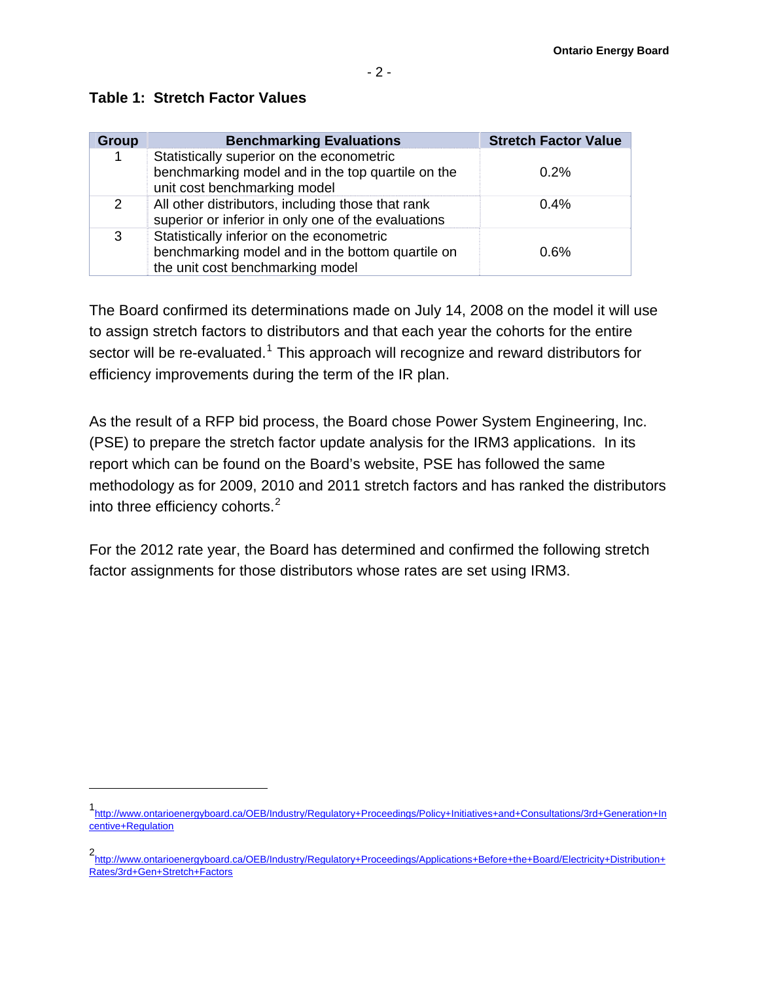| <b>Group</b>  | <b>Benchmarking Evaluations</b>                                                                                                   | <b>Stretch Factor Value</b> |
|---------------|-----------------------------------------------------------------------------------------------------------------------------------|-----------------------------|
|               | Statistically superior on the econometric<br>benchmarking model and in the top quartile on the<br>unit cost benchmarking model    | 0.2%                        |
| $\mathcal{P}$ | All other distributors, including those that rank<br>superior or inferior in only one of the evaluations                          | $0.4\%$                     |
| 3             | Statistically inferior on the econometric<br>benchmarking model and in the bottom quartile on<br>the unit cost benchmarking model | 0.6%                        |

## **Table 1: Stretch Factor Values**

 $\overline{a}$ 

The Board confirmed its determinations made on July 14, 2008 on the model it will use to assign stretch factors to distributors and that each year the cohorts for the entire sector will be re-evaluated.<sup>[1](#page-1-0)</sup> This approach will recognize and reward distributors for efficiency improvements during the term of the IR plan.

As the result of a RFP bid process, the Board chose Power System Engineering, Inc. (PSE) to prepare the stretch factor update analysis for the IRM3 applications. In its report which can be found on the Board's website, PSE has followed the same methodology as for 2009, 2010 and 2011 stretch factors and has ranked the distributors into three efficiency cohorts. $2$ 

For the 2012 rate year, the Board has determined and confirmed the following stretch factor assignments for those distributors whose rates are set using IRM3.

<span id="page-1-0"></span><sup>1</sup> [http://www.ontarioenergyboard.ca/OEB/Industry/Regulatory+Proceedings/Policy+Initiatives+and+Consultations/3rd+Generation+In](http://www.ontarioenergyboard.ca/OEB/Industry/Regulatory+Proceedings/Policy+Initiatives+and+Consultations/3rd+Generation+Incentive+Regulation) [centive+Regulation](http://www.ontarioenergyboard.ca/OEB/Industry/Regulatory+Proceedings/Policy+Initiatives+and+Consultations/3rd+Generation+Incentive+Regulation)

<span id="page-1-1"></span><sup>2</sup> [http://www.ontarioenergyboard.ca/OEB/Industry/Regulatory+Proceedings/Applications+Before+the+Board/Electricity+Distribution+](http://www.ontarioenergyboard.ca/OEB/Industry/Regulatory+Proceedings/Applications+Before+the+Board/Electricity+Distribution+Rates/3rd+Gen+Stretch+Factors) [Rates/3rd+Gen+Stretch+Factors](http://www.ontarioenergyboard.ca/OEB/Industry/Regulatory+Proceedings/Applications+Before+the+Board/Electricity+Distribution+Rates/3rd+Gen+Stretch+Factors)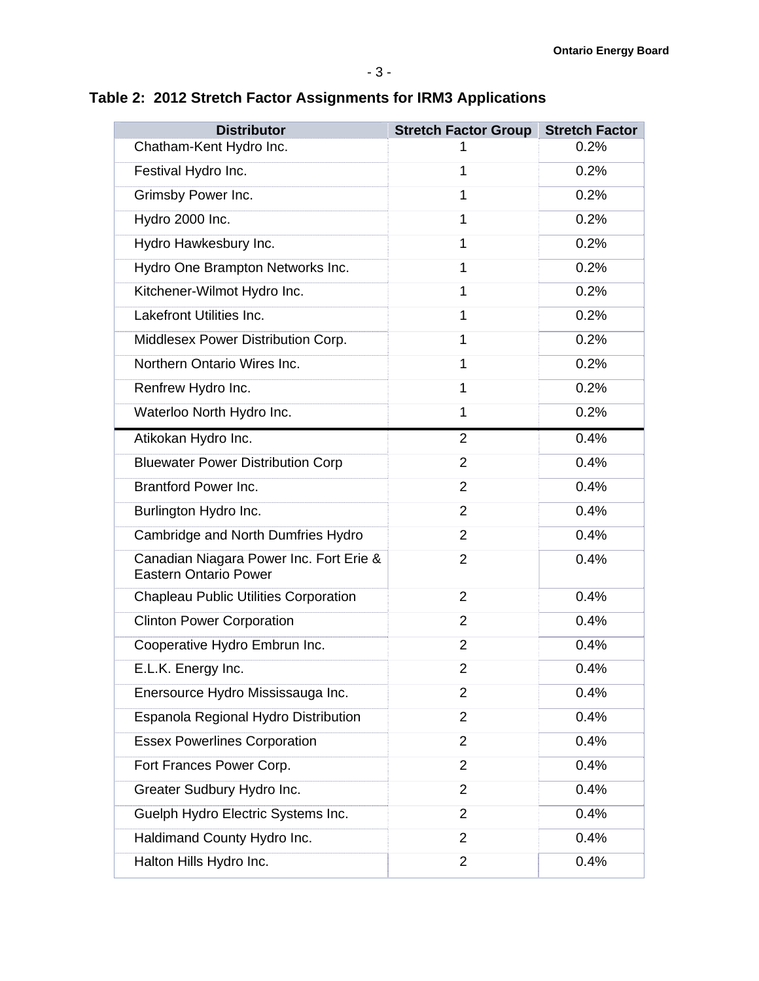## **Table 2: 2012 Stretch Factor Assignments for IRM3 Applications**

| <b>Distributor</b>                                                      | <b>Stretch Factor Group</b> | <b>Stretch Factor</b> |
|-------------------------------------------------------------------------|-----------------------------|-----------------------|
| Chatham-Kent Hydro Inc.                                                 |                             | 0.2%                  |
| Festival Hydro Inc.                                                     | 1                           | 0.2%                  |
| Grimsby Power Inc.                                                      | 1                           | 0.2%                  |
| Hydro 2000 Inc.                                                         | 1                           | 0.2%                  |
| Hydro Hawkesbury Inc.                                                   | 1                           | 0.2%                  |
| Hydro One Brampton Networks Inc.                                        | 1                           | 0.2%                  |
| Kitchener-Wilmot Hydro Inc.                                             | 1                           | 0.2%                  |
| <b>Lakefront Utilities Inc.</b>                                         | 1                           | 0.2%                  |
| Middlesex Power Distribution Corp.                                      | 1                           | 0.2%                  |
| Northern Ontario Wires Inc.                                             | 1                           | 0.2%                  |
| Renfrew Hydro Inc.                                                      | 1                           | 0.2%                  |
| Waterloo North Hydro Inc.                                               | 1                           | 0.2%                  |
| Atikokan Hydro Inc.                                                     | $\overline{2}$              | 0.4%                  |
| <b>Bluewater Power Distribution Corp</b>                                | $\overline{2}$              | 0.4%                  |
| <b>Brantford Power Inc.</b>                                             | 2                           | 0.4%                  |
| Burlington Hydro Inc.                                                   | $\overline{2}$              | 0.4%                  |
| Cambridge and North Dumfries Hydro                                      | $\overline{2}$              | 0.4%                  |
| Canadian Niagara Power Inc. Fort Erie &<br><b>Eastern Ontario Power</b> | $\overline{2}$              | 0.4%                  |
| <b>Chapleau Public Utilities Corporation</b>                            | $\overline{2}$              | 0.4%                  |
| <b>Clinton Power Corporation</b>                                        | 2                           | 0.4%                  |
| Cooperative Hydro Embrun Inc.                                           | $\overline{2}$              | 0.4%                  |
| E.L.K. Energy Inc.                                                      | 2                           | 0.4%                  |
| Enersource Hydro Mississauga Inc.                                       | $\overline{2}$              | 0.4%                  |
| Espanola Regional Hydro Distribution                                    | $\overline{2}$              | 0.4%                  |
| <b>Essex Powerlines Corporation</b>                                     | $\overline{2}$              | 0.4%                  |
| Fort Frances Power Corp.                                                | $\overline{2}$              | 0.4%                  |
| Greater Sudbury Hydro Inc.                                              | $\overline{2}$              | 0.4%                  |
| Guelph Hydro Electric Systems Inc.                                      | $\overline{2}$              | 0.4%                  |
| Haldimand County Hydro Inc.                                             | $\overline{2}$              | 0.4%                  |
| Halton Hills Hydro Inc.                                                 | $\overline{2}$              | 0.4%                  |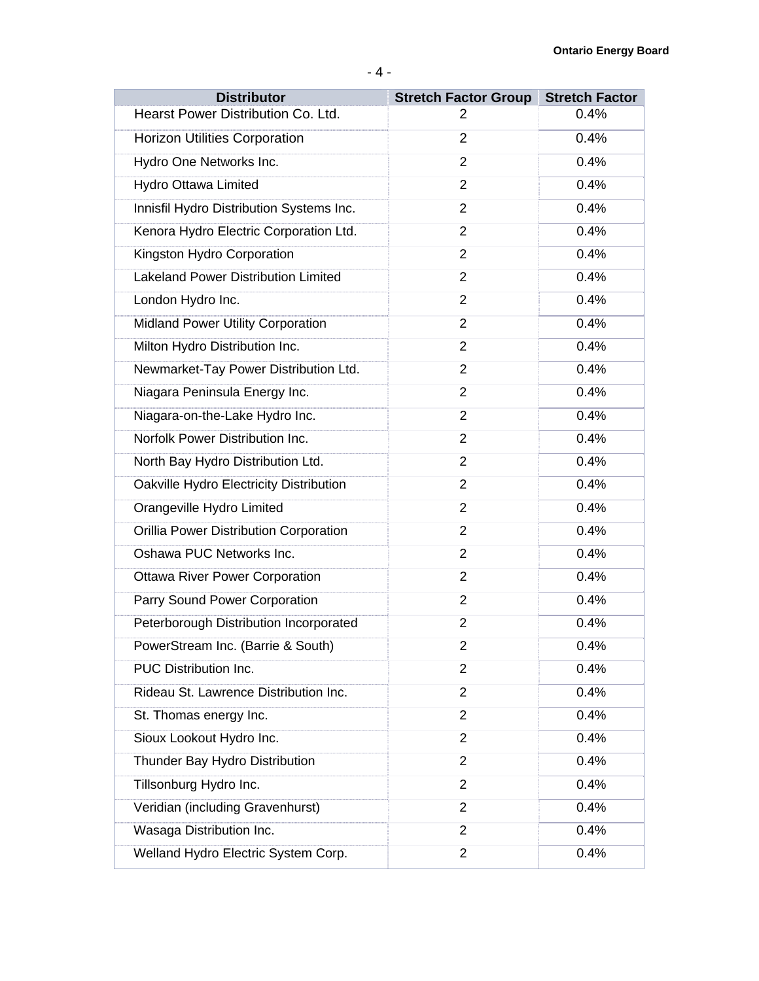| <b>Distributor</b>                         | <b>Stretch Factor Group Stretch Factor</b> |      |
|--------------------------------------------|--------------------------------------------|------|
| Hearst Power Distribution Co. Ltd.         | 2                                          | 0.4% |
| <b>Horizon Utilities Corporation</b>       | $\overline{2}$                             | 0.4% |
| Hydro One Networks Inc.                    | $\overline{2}$                             | 0.4% |
| Hydro Ottawa Limited                       | $\overline{2}$                             | 0.4% |
| Innisfil Hydro Distribution Systems Inc.   | $\overline{2}$                             | 0.4% |
| Kenora Hydro Electric Corporation Ltd.     | $\overline{2}$                             | 0.4% |
| Kingston Hydro Corporation                 | 2                                          | 0.4% |
| <b>Lakeland Power Distribution Limited</b> | $\overline{2}$                             | 0.4% |
| London Hydro Inc.                          | $\overline{2}$                             | 0.4% |
| <b>Midland Power Utility Corporation</b>   | $\overline{2}$                             | 0.4% |
| Milton Hydro Distribution Inc.             | $\overline{2}$                             | 0.4% |
| Newmarket-Tay Power Distribution Ltd.      | $\overline{2}$                             | 0.4% |
| Niagara Peninsula Energy Inc.              | $\overline{2}$                             | 0.4% |
| Niagara-on-the-Lake Hydro Inc.             | $\overline{2}$                             | 0.4% |
| Norfolk Power Distribution Inc.            | $\overline{2}$                             | 0.4% |
| North Bay Hydro Distribution Ltd.          | $\overline{2}$                             | 0.4% |
| Oakville Hydro Electricity Distribution    | 2                                          | 0.4% |
| Orangeville Hydro Limited                  | $\overline{2}$                             | 0.4% |
| Orillia Power Distribution Corporation     | $\overline{2}$                             | 0.4% |
| Oshawa PUC Networks Inc.                   | $\overline{2}$                             | 0.4% |
| <b>Ottawa River Power Corporation</b>      | $\overline{2}$                             | 0.4% |
| Parry Sound Power Corporation              | $\overline{2}$                             | 0.4% |
| Peterborough Distribution Incorporated     | $\overline{2}$                             | 0.4% |
| PowerStream Inc. (Barrie & South)          | 2                                          | 0.4% |
| PUC Distribution Inc.                      | $\overline{2}$                             | 0.4% |
| Rideau St. Lawrence Distribution Inc.      | $\overline{2}$                             | 0.4% |
| St. Thomas energy Inc.                     | $\overline{2}$                             | 0.4% |
| Sioux Lookout Hydro Inc.                   | $\overline{2}$                             | 0.4% |
| Thunder Bay Hydro Distribution             | 2                                          | 0.4% |
| Tillsonburg Hydro Inc.                     | $\overline{2}$                             | 0.4% |
| Veridian (including Gravenhurst)           | 2                                          | 0.4% |
| Wasaga Distribution Inc.                   | $\overline{2}$                             | 0.4% |
| Welland Hydro Electric System Corp.        | $\overline{2}$                             | 0.4% |